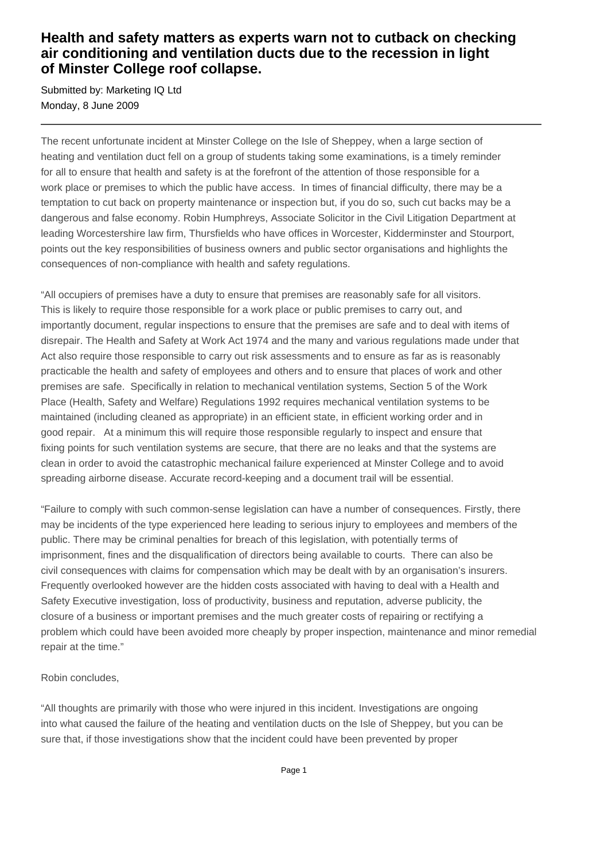## **Health and safety matters as experts warn not to cutback on checking air conditioning and ventilation ducts due to the recession in light of Minster College roof collapse.**

Submitted by: Marketing IQ Ltd Monday, 8 June 2009

The recent unfortunate incident at Minster College on the Isle of Sheppey, when a large section of heating and ventilation duct fell on a group of students taking some examinations, is a timely reminder for all to ensure that health and safety is at the forefront of the attention of those responsible for a work place or premises to which the public have access. In times of financial difficulty, there may be a temptation to cut back on property maintenance or inspection but, if you do so, such cut backs may be a dangerous and false economy. Robin Humphreys, Associate Solicitor in the Civil Litigation Department at leading Worcestershire law firm, Thursfields who have offices in Worcester, Kidderminster and Stourport, points out the key responsibilities of business owners and public sector organisations and highlights the consequences of non-compliance with health and safety regulations.

"All occupiers of premises have a duty to ensure that premises are reasonably safe for all visitors. This is likely to require those responsible for a work place or public premises to carry out, and importantly document, regular inspections to ensure that the premises are safe and to deal with items of disrepair. The Health and Safety at Work Act 1974 and the many and various regulations made under that Act also require those responsible to carry out risk assessments and to ensure as far as is reasonably practicable the health and safety of employees and others and to ensure that places of work and other premises are safe. Specifically in relation to mechanical ventilation systems, Section 5 of the Work Place (Health, Safety and Welfare) Regulations 1992 requires mechanical ventilation systems to be maintained (including cleaned as appropriate) in an efficient state, in efficient working order and in good repair. At a minimum this will require those responsible regularly to inspect and ensure that fixing points for such ventilation systems are secure, that there are no leaks and that the systems are clean in order to avoid the catastrophic mechanical failure experienced at Minster College and to avoid spreading airborne disease. Accurate record-keeping and a document trail will be essential.

"Failure to comply with such common-sense legislation can have a number of consequences. Firstly, there may be incidents of the type experienced here leading to serious injury to employees and members of the public. There may be criminal penalties for breach of this legislation, with potentially terms of imprisonment, fines and the disqualification of directors being available to courts. There can also be civil consequences with claims for compensation which may be dealt with by an organisation's insurers. Frequently overlooked however are the hidden costs associated with having to deal with a Health and Safety Executive investigation, loss of productivity, business and reputation, adverse publicity, the closure of a business or important premises and the much greater costs of repairing or rectifying a problem which could have been avoided more cheaply by proper inspection, maintenance and minor remedial repair at the time."

## Robin concludes,

"All thoughts are primarily with those who were injured in this incident. Investigations are ongoing into what caused the failure of the heating and ventilation ducts on the Isle of Sheppey, but you can be sure that, if those investigations show that the incident could have been prevented by proper